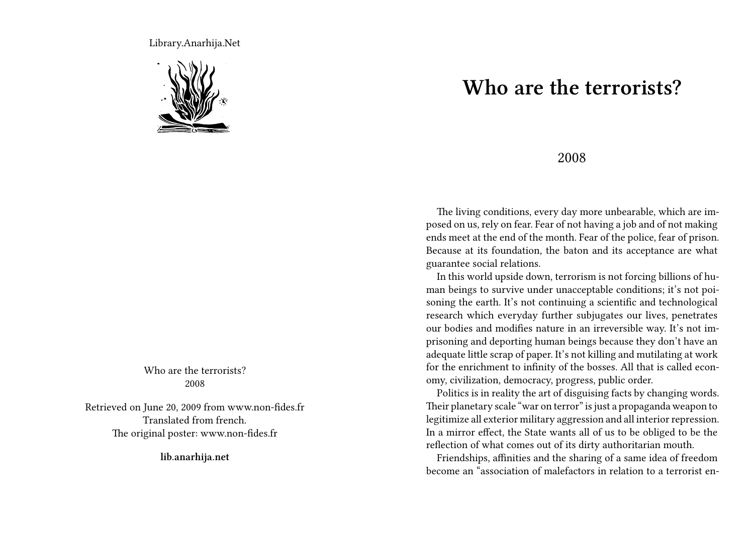Library.Anarhija.Net



Who are the terrorists? 2008

Retrieved on June 20, 2009 from www.non-fides.fr Translated from french. The original poster: www.non-fides.fr

**lib.anarhija.net**

## **Who are the terrorists?**

## 2008

The living conditions, every day more unbearable, which are imposed on us, rely on fear. Fear of not having a job and of not making ends meet at the end of the month. Fear of the police, fear of prison. Because at its foundation, the baton and its acceptance are what guarantee social relations.

In this world upside down, terrorism is not forcing billions of human beings to survive under unacceptable conditions; it's not poisoning the earth. It's not continuing a scientific and technological research which everyday further subjugates our lives, penetrates our bodies and modifies nature in an irreversible way. It's not imprisoning and deporting human beings because they don't have an adequate little scrap of paper. It's not killing and mutilating at work for the enrichment to infinity of the bosses. All that is called economy, civilization, democracy, progress, public order.

Politics is in reality the art of disguising facts by changing words. Their planetary scale "war on terror" is just a propaganda weapon to legitimize all exterior military aggression and all interior repression. In a mirror effect, the State wants all of us to be obliged to be the reflection of what comes out of its dirty authoritarian mouth.

Friendships, affinities and the sharing of a same idea of freedom become an "association of malefactors in relation to a terrorist en